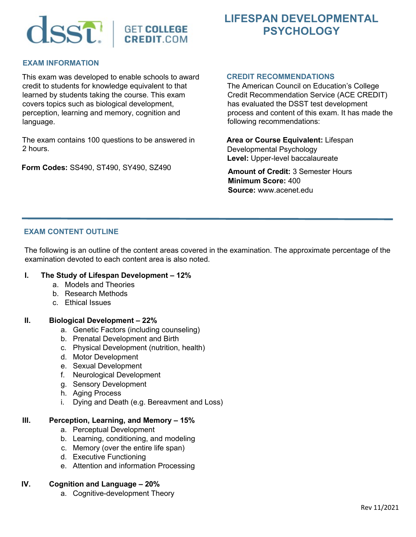## SST. | GET COLLEGE **CREDIT.COM**

# **PSYCHOLOGY**

#### **EXAM INFORMATION**

This exam was developed to enable schools to award credit to students for knowledge equivalent to that learned by students taking the course. This exam covers topics such as biological development, perception, learning and memory, cognition and language.

The exam contains 100 questions to be answered in 2 hours.

**Form Codes:** SS490, ST490, SY490, SZ490

#### **CREDIT RECOMMENDATIONS**

The American Council on Education's College Credit Recommendation Service (ACE CREDIT) has evaluated the DSST test development process and content of this exam. It has made the following recommendations:

**LIFESPAN DEVELOPMENTAL** 

**Area or Course Equivalent:** Lifespan Developmental Psychology **Level:** Upper-level baccalaureate

**Amount of Credit:** 3 Semester Hours **Minimum Score:** 400 **Source:** www.acenet.edu

### **EXAM CONTENT OUTLINE**

The following is an outline of the content areas covered in the examination. The approximate percentage of the examination devoted to each content area is also noted.

#### **I. The Study of Lifespan Development – 12%**

- a. Models and Theories
- b. Research Methods
- c. Ethical Issues

#### **II. Biological Development – 22%**

- a. Genetic Factors (including counseling)
- b. Prenatal Development and Birth
- c. Physical Development (nutrition, health)
- d. Motor Development
- e. Sexual Development
- f. Neurological Development
- g. Sensory Development
- h. Aging Process
- i. Dying and Death (e.g. Bereavment and Loss)

#### **III. Perception, Learning, and Memory – 15%**

- a. Perceptual Development
- b. Learning, conditioning, and modeling
- c. Memory (over the entire life span)
- d. Executive Functioning
- e. Attention and information Processing

#### **IV. Cognition and Language – 20%**

a. Cognitive-development Theory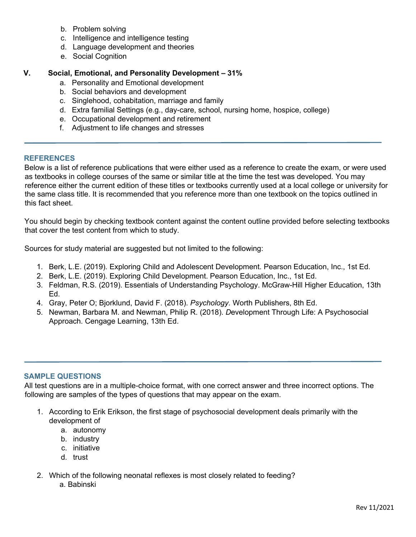- b. Problem solving
- c. Intelligence and intelligence testing
- d. Language development and theories
- e. Social Cognition

#### **V. Social, Emotional, and Personality Development – 31%**

- a. Personality and Emotional development
- b. Social behaviors and development
- c. Singlehood, cohabitation, marriage and family
- d. Extra familial Settings (e.g., day-care, school, nursing home, hospice, college)
- e. Occupational development and retirement
- f. Adjustment to life changes and stresses

#### **REFERENCES**

Below is a list of reference publications that were either used as a reference to create the exam, or were used as textbooks in college courses of the same or similar title at the time the test was developed. You may reference either the current edition of these titles or textbooks currently used at a local college or university for the same class title. It is recommended that you reference more than one textbook on the topics outlined in this fact sheet.

You should begin by checking textbook content against the content outline provided before selecting textbooks that cover the test content from which to study.

Sources for study material are suggested but not limited to the following:

- 1. Berk, L.E. (2019). Exploring Child and Adolescent Development. Pearson Education, Inc., 1st Ed.
- 2. Berk, L.E. (2019). Exploring Child Development. Pearson Education, Inc., 1st Ed.
- 3. Feldman, R.S. (2019). Essentials of Understanding Psychology. McGraw-Hill Higher Education, 13th Ed.
- 4. Gray, Peter O; Bjorklund, David F. (2018). *Psychology*. Worth Publishers, 8th Ed.
- 5. Newman, Barbara M. and Newman, Philip R. (2018). *D*evelopment Through Life: A Psychosocial Approach. Cengage Learning, 13th Ed.

#### **SAMPLE QUESTIONS**

All test questions are in a multiple-choice format, with one correct answer and three incorrect options. The following are samples of the types of questions that may appear on the exam.

- 1. According to Erik Erikson, the first stage of psychosocial development deals primarily with the development of
	- a. autonomy
	- b. industry
	- c. initiative
	- d. trust
- 2. Which of the following neonatal reflexes is most closely related to feeding? a. Babinski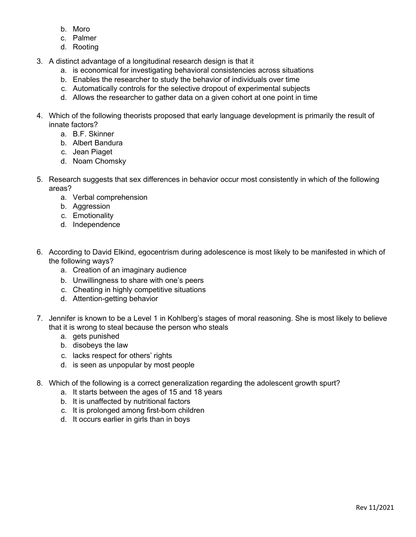- b. Moro
- c. Palmer
- d. Rooting
- 3. A distinct advantage of a longitudinal research design is that it
	- a. is economical for investigating behavioral consistencies across situations
	- b. Enables the researcher to study the behavior of individuals over time
	- c. Automatically controls for the selective dropout of experimental subjects
	- d. Allows the researcher to gather data on a given cohort at one point in time
- 4. Which of the following theorists proposed that early language development is primarily the result of innate factors?
	- a. B.F. Skinner
	- b. Albert Bandura
	- c. Jean Piaget
	- d. Noam Chomsky
- 5. Research suggests that sex differences in behavior occur most consistently in which of the following areas?
	- a. Verbal comprehension
	- b. Aggression
	- c. Emotionality
	- d. Independence
- 6. According to David Elkind, egocentrism during adolescence is most likely to be manifested in which of the following ways?
	- a. Creation of an imaginary audience
	- b. Unwillingness to share with one's peers
	- c. Cheating in highly competitive situations
	- d. Attention-getting behavior
- 7. Jennifer is known to be a Level 1 in Kohlberg's stages of moral reasoning. She is most likely to believe that it is wrong to steal because the person who steals
	- a. gets punished
	- b. disobeys the law
	- c. lacks respect for others' rights
	- d. is seen as unpopular by most people
- 8. Which of the following is a correct generalization regarding the adolescent growth spurt?
	- a. It starts between the ages of 15 and 18 years
	- b. It is unaffected by nutritional factors
	- c. It is prolonged among first-born children
	- d. It occurs earlier in girls than in boys